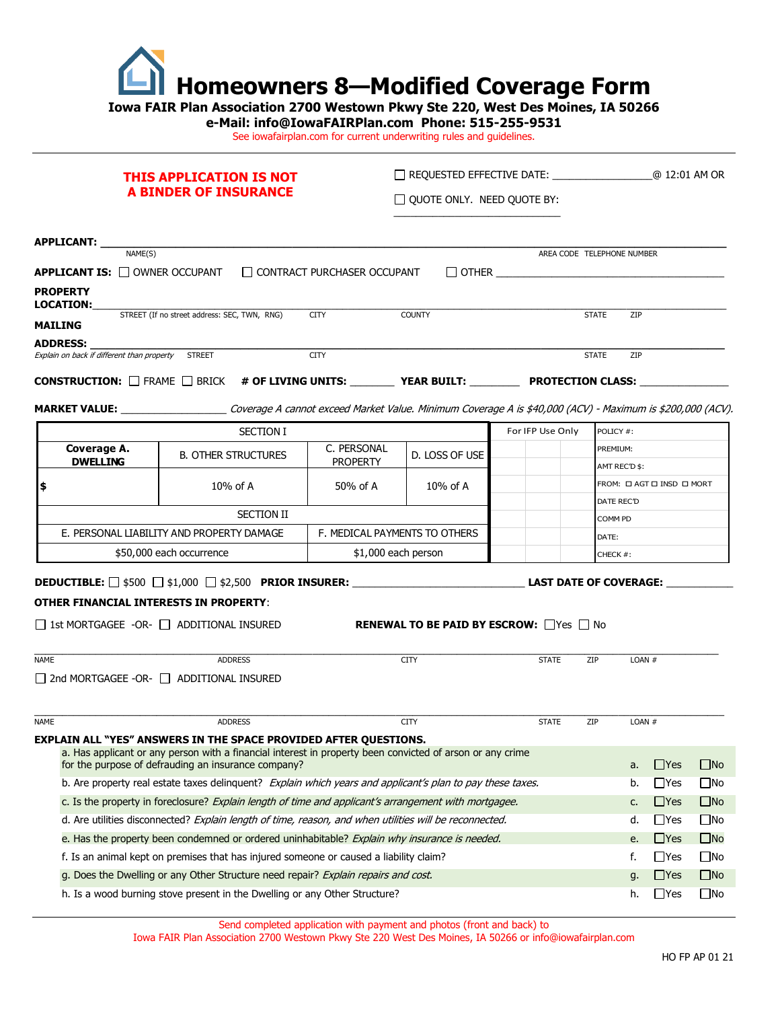

**Iowa FAIR Plan Association 2700 Westown Pkwy Ste 220, West Des Moines, IA 50266** 

**e-Mail: info@IowaFAIRPlan.com Phone: 515-255-9531** 

See iowafairplan.com for current underwriting rules and guidelines.

# **THIS APPLICATION IS NOT A BINDER OF INSURANCE**

REQUESTED EFFECTIVE DATE: \_\_\_\_\_\_\_\_\_\_\_\_\_\_\_\_\_\_@ 12:01 AM OR  $\Box$  QUOTE ONLY. NEED QUOTE BY:

\_\_\_\_\_\_\_\_\_\_\_\_\_\_\_\_\_\_\_\_\_\_\_\_\_\_\_\_\_\_

| <b>APPLICANT:</b>                                     |                                              |               |                                                                                      |               |              |                            |            |
|-------------------------------------------------------|----------------------------------------------|---------------|--------------------------------------------------------------------------------------|---------------|--------------|----------------------------|------------|
|                                                       | NAME(S)                                      |               |                                                                                      |               |              | AREA CODE TELEPHONE NUMBER |            |
| <b>APPLICANT IS: <math>\Box</math> OWNER OCCUPANT</b> |                                              |               | □ CONTRACT PURCHASER OCCUPANT                                                        |               | $\Box$ other |                            |            |
| <b>PROPERTY</b><br><b>LOCATION:</b>                   |                                              |               |                                                                                      |               |              |                            |            |
| MAILING                                               | STREET (If no street address: SEC, TWN, RNG) |               | <b>CITY</b>                                                                          | <b>COUNTY</b> |              | <b>STATE</b>               | <b>ZIP</b> |
| <b>ADDRESS:</b>                                       |                                              |               |                                                                                      |               |              |                            |            |
| Explain on back if different than property            |                                              | <b>STREET</b> | <b>CITY</b>                                                                          |               |              | <b>STATE</b>               | <b>ZIP</b> |
|                                                       |                                              |               | <b>CONSTRUCTION:</b> $\Box$ FRAME $\Box$ BRICK # <b>OF LIVING UNITS:</b> YEAR BUILT: |               |              | <b>PROTECTION CLASS:</b>   |            |

**MARKET VALUE:** \_\_\_\_\_\_\_\_\_\_\_\_\_\_\_\_\_\_\_ Coverage A cannot exceed Market Value. Minimum Coverage A is \$40,000 (ACV) - Maximum is \$200,000 (ACV).

| <b>SECTION I</b>               |                                           |                                |                |  | For IFP Use Only | POLICY #:                 |  |
|--------------------------------|-------------------------------------------|--------------------------------|----------------|--|------------------|---------------------------|--|
| Coverage A.<br><b>DWELLING</b> | <b>B. OTHER STRUCTURES</b>                | C. PERSONAL<br><b>PROPERTY</b> | D. LOSS OF USE |  |                  | PREMIUM:                  |  |
|                                |                                           |                                |                |  |                  | AMT REC'D \$:             |  |
|                                | $10\%$ of A                               | 50% of A<br>$10\%$ of A        |                |  |                  | FROM: O AGT O INSD O MORT |  |
|                                |                                           |                                |                |  |                  | DATE REC'D                |  |
|                                | <b>SECTION II</b>                         |                                |                |  |                  | <b>COMM PD</b>            |  |
|                                | E. PERSONAL LIABILITY AND PROPERTY DAMAGE | F. MEDICAL PAYMENTS TO OTHERS  |                |  |                  | DATE:                     |  |
|                                | \$50,000 each occurrence                  | \$1,000 each person            |                |  |                  | CHECK #:                  |  |

# **DEDUCTIBLE:** \$500 \$1,000 \$2,500 **PRIOR INSURER:** \_\_\_\_\_\_\_\_\_\_\_\_\_\_\_\_\_\_\_\_\_\_\_\_\_\_\_\_\_\_\_ **LAST DATE OF COVERAGE:** \_\_\_\_\_\_\_\_\_\_\_\_

# **OTHER FINANCIAL INTERESTS IN PROPERTY**:

1st MORTGAGEE -OR-  $\Box$  additional insured **RENEWAL TO BE PAID BY ESCROW:**  $\Box$ Yes  $\Box$  No

| <b>NAME</b> | <b>ADDRESS</b>                                                                                                                                                   | <b>CITY</b> | <b>STATE</b> | <b>ZIP</b> | $LOAN$ # |              |              |
|-------------|------------------------------------------------------------------------------------------------------------------------------------------------------------------|-------------|--------------|------------|----------|--------------|--------------|
|             | 2nd MORTGAGEE -OR-   ADDITIONAL INSURED                                                                                                                          |             |              |            |          |              |              |
| <b>NAME</b> | <b>ADDRESS</b>                                                                                                                                                   | <b>CITY</b> | <b>STATE</b> | ZIP        | LOAN $#$ |              |              |
|             | <b>EXPLAIN ALL "YES" ANSWERS IN THE SPACE PROVIDED AFTER QUESTIONS.</b>                                                                                          |             |              |            |          |              |              |
|             | a. Has applicant or any person with a financial interest in property been convicted of arson or any crime<br>for the purpose of defrauding an insurance company? |             |              |            | a.       | <b>T</b> Yes | $\Box$ No    |
|             | b. Are property real estate taxes delinguent? Explain which years and applicant's plan to pay these taxes.                                                       |             |              |            | b.       | l Yes        | ∐No          |
|             | $\Box$ Yes<br>c. Is the property in foreclosure? Explain length of time and applicant's arrangement with mortgagee.<br>C.                                        |             |              |            |          | $\square$ No |              |
|             | d. Are utilities disconnected? Explain length of time, reason, and when utilities will be reconnected.<br>l Yes<br>d.                                            |             |              |            |          | $\square$ No |              |
|             | $\Box$ Yes<br>e. Has the property been condemned or ordered uninhabitable? Explain why insurance is needed.<br>e.                                                |             |              |            |          | $\square$ No |              |
|             | $\Box$ Yes<br>f.<br>f. Is an animal kept on premises that has injured someone or caused a liability claim?                                                       |             |              |            |          | $\square$ No |              |
|             | g. Does the Dwelling or any Other Structure need repair? Explain repairs and cost.<br>$\Box$ Yes<br>q.                                                           |             |              |            |          | $\Box$ No    |              |
|             | h. Is a wood burning stove present in the Dwelling or any Other Structure?                                                                                       |             |              |            | h.       | l lYes       | $\square$ No |

Send completed application with payment and photos (front and back) to

Iowa FAIR Plan Association 2700 Westown Pkwy Ste 220 West Des Moines, IA 50266 or [info@iowafairplan.com](mailto:info@iowafairplan.com)